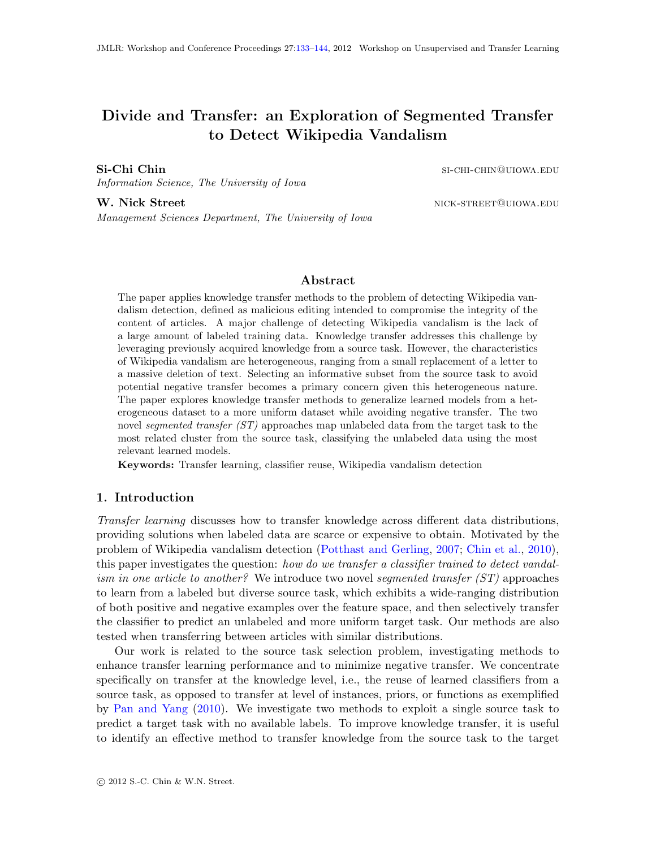# Divide and Transfer: an Exploration of Segmented Transfer to Detect Wikipedia Vandalism

Si-Chi Chin si-chin si-chin si-chin si-chin si-chin si-chin si-chin si-chin si-chin si-chin si-chin si-chin si-

Information Science, The University of Iowa

W. Nick Street nick-street nick-street nick-street nick-street nick-street nick-street nick-street nick-street

Management Sciences Department, The University of Iowa

#### Abstract

The paper applies knowledge transfer methods to the problem of detecting Wikipedia vandalism detection, defined as malicious editing intended to compromise the integrity of the content of articles. A major challenge of detecting Wikipedia vandalism is the lack of a large amount of labeled training data. Knowledge transfer addresses this challenge by leveraging previously acquired knowledge from a source task. However, the characteristics of Wikipedia vandalism are heterogeneous, ranging from a small replacement of a letter to a massive deletion of text. Selecting an informative subset from the source task to avoid potential negative transfer becomes a primary concern given this heterogeneous nature. The paper explores knowledge transfer methods to generalize learned models from a heterogeneous dataset to a more uniform dataset while avoiding negative transfer. The two novel segmented transfer  $(ST)$  approaches map unlabeled data from the target task to the most related cluster from the source task, classifying the unlabeled data using the most relevant learned models.

Keywords: Transfer learning, classifier reuse, Wikipedia vandalism detection

#### 1. Introduction

Transfer learning discusses how to transfer knowledge across different data distributions, providing solutions when labeled data are scarce or expensive to obtain. Motivated by the problem of Wikipedia vandalism detection [\(Potthast and Gerling,](#page-11-1) [2007;](#page-11-1) [Chin et al.,](#page-10-0) [2010\)](#page-10-0), this paper investigates the question: how do we transfer a classifier trained to detect vandalism in one article to another? We introduce two novel segmented transfer  $(ST)$  approaches to learn from a labeled but diverse source task, which exhibits a wide-ranging distribution of both positive and negative examples over the feature space, and then selectively transfer the classifier to predict an unlabeled and more uniform target task. Our methods are also tested when transferring between articles with similar distributions.

Our work is related to the source task selection problem, investigating methods to enhance transfer learning performance and to minimize negative transfer. We concentrate specifically on transfer at the knowledge level, i.e., the reuse of learned classifiers from a source task, as opposed to transfer at level of instances, priors, or functions as exemplified by [Pan and Yang](#page-11-2) [\(2010\)](#page-11-2). We investigate two methods to exploit a single source task to predict a target task with no available labels. To improve knowledge transfer, it is useful to identify an effective method to transfer knowledge from the source task to the target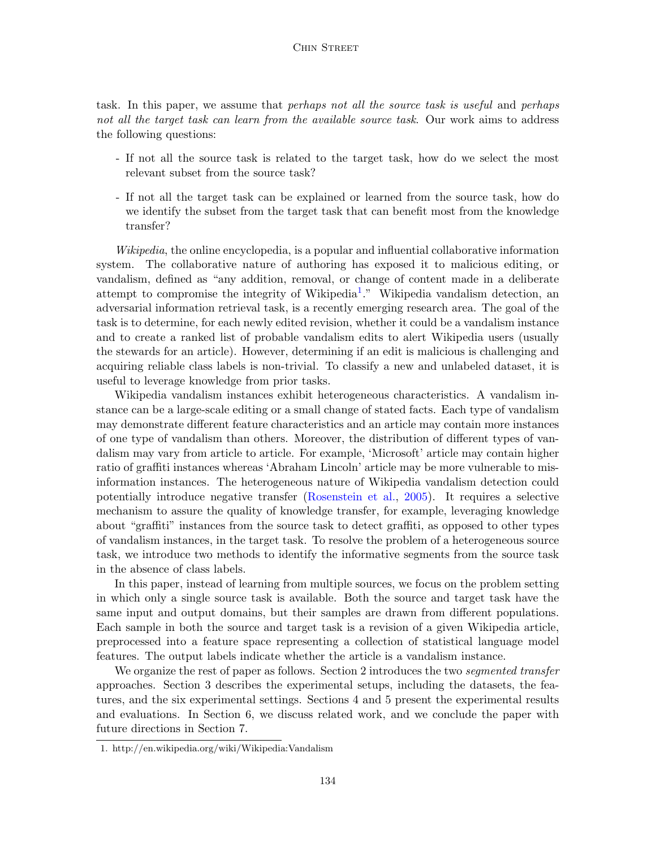task. In this paper, we assume that *perhaps not all the source task is useful* and *perhaps* not all the target task can learn from the available source task. Our work aims to address the following questions:

- If not all the source task is related to the target task, how do we select the most relevant subset from the source task?
- If not all the target task can be explained or learned from the source task, how do we identify the subset from the target task that can benefit most from the knowledge transfer?

Wikipedia, the online encyclopedia, is a popular and influential collaborative information system. The collaborative nature of authoring has exposed it to malicious editing, or vandalism, defined as "any addition, removal, or change of content made in a deliberate attempt to compromise the integrity of Wikipedia<sup>[1](#page-1-0)</sup>." Wikipedia vandalism detection, an adversarial information retrieval task, is a recently emerging research area. The goal of the task is to determine, for each newly edited revision, whether it could be a vandalism instance and to create a ranked list of probable vandalism edits to alert Wikipedia users (usually the stewards for an article). However, determining if an edit is malicious is challenging and acquiring reliable class labels is non-trivial. To classify a new and unlabeled dataset, it is useful to leverage knowledge from prior tasks.

Wikipedia vandalism instances exhibit heterogeneous characteristics. A vandalism instance can be a large-scale editing or a small change of stated facts. Each type of vandalism may demonstrate different feature characteristics and an article may contain more instances of one type of vandalism than others. Moreover, the distribution of different types of vandalism may vary from article to article. For example, 'Microsoft' article may contain higher ratio of graffiti instances whereas 'Abraham Lincoln' article may be more vulnerable to misinformation instances. The heterogeneous nature of Wikipedia vandalism detection could potentially introduce negative transfer [\(Rosenstein et al.,](#page-11-3) [2005\)](#page-11-3). It requires a selective mechanism to assure the quality of knowledge transfer, for example, leveraging knowledge about "graffiti" instances from the source task to detect graffiti, as opposed to other types of vandalism instances, in the target task. To resolve the problem of a heterogeneous source task, we introduce two methods to identify the informative segments from the source task in the absence of class labels.

In this paper, instead of learning from multiple sources, we focus on the problem setting in which only a single source task is available. Both the source and target task have the same input and output domains, but their samples are drawn from different populations. Each sample in both the source and target task is a revision of a given Wikipedia article, preprocessed into a feature space representing a collection of statistical language model features. The output labels indicate whether the article is a vandalism instance.

We organize the rest of paper as follows. Section 2 introduces the two *segmented transfer* approaches. Section 3 describes the experimental setups, including the datasets, the features, and the six experimental settings. Sections 4 and 5 present the experimental results and evaluations. In Section 6, we discuss related work, and we conclude the paper with future directions in Section 7.

<span id="page-1-0"></span><sup>1.</sup> http://en.wikipedia.org/wiki/Wikipedia:Vandalism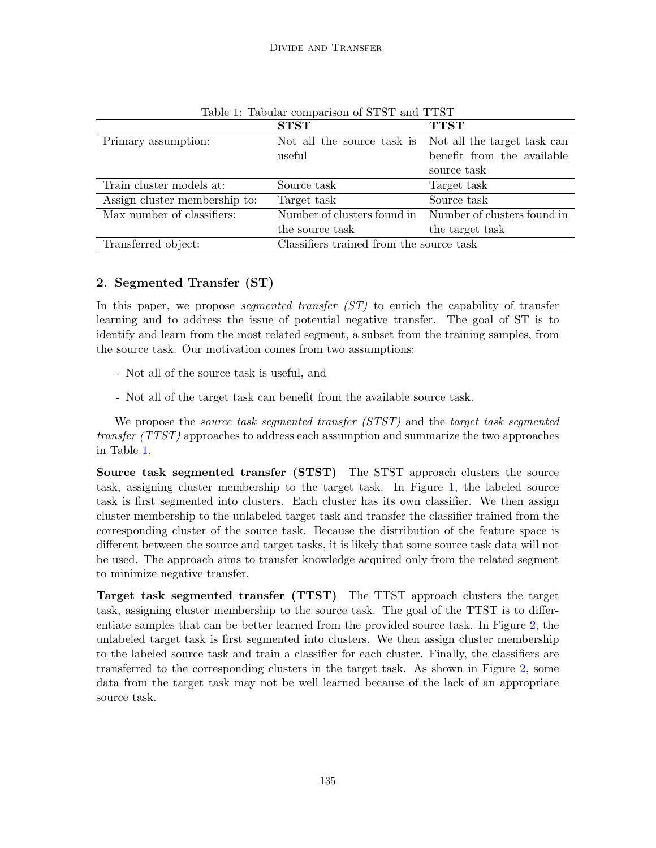|                                                                 | <b>STST</b>     | <b>TTST</b>                                             |  |
|-----------------------------------------------------------------|-----------------|---------------------------------------------------------|--|
| Primary assumption:                                             |                 | Not all the source task is Not all the target task can  |  |
|                                                                 | useful          | benefit from the available                              |  |
|                                                                 |                 | source task                                             |  |
| Train cluster models at:                                        | Source task     | Target task                                             |  |
| Assign cluster membership to:                                   | Target task     | Source task                                             |  |
| Max number of classifiers:                                      |                 | Number of clusters found in Number of clusters found in |  |
|                                                                 | the source task | the target task                                         |  |
| Classifiers trained from the source task<br>Transferred object: |                 |                                                         |  |

<span id="page-2-0"></span>Table 1: Tabular comparison of STST and TTST

# 2. Segmented Transfer (ST)

In this paper, we propose *segmented transfer*  $(ST)$  to enrich the capability of transfer learning and to address the issue of potential negative transfer. The goal of ST is to identify and learn from the most related segment, a subset from the training samples, from the source task. Our motivation comes from two assumptions:

- Not all of the source task is useful, and
- Not all of the target task can benefit from the available source task.

We propose the *source task segmented transfer (STST)* and the *target task segmented* transfer (TTST) approaches to address each assumption and summarize the two approaches in Table [1.](#page-2-0)

Source task segmented transfer (STST) The STST approach clusters the source task, assigning cluster membership to the target task. In Figure [1,](#page-3-0) the labeled source task is first segmented into clusters. Each cluster has its own classifier. We then assign cluster membership to the unlabeled target task and transfer the classifier trained from the corresponding cluster of the source task. Because the distribution of the feature space is different between the source and target tasks, it is likely that some source task data will not be used. The approach aims to transfer knowledge acquired only from the related segment to minimize negative transfer.

Target task segmented transfer (TTST) The TTST approach clusters the target task, assigning cluster membership to the source task. The goal of the TTST is to differentiate samples that can be better learned from the provided source task. In Figure [2,](#page-3-1) the unlabeled target task is first segmented into clusters. We then assign cluster membership to the labeled source task and train a classifier for each cluster. Finally, the classifiers are transferred to the corresponding clusters in the target task. As shown in Figure [2,](#page-3-1) some data from the target task may not be well learned because of the lack of an appropriate source task.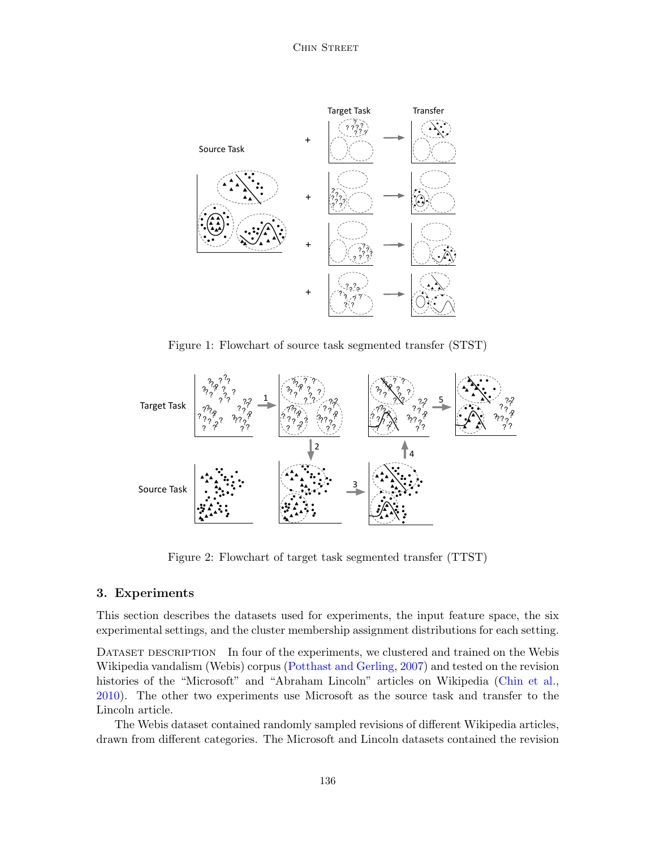Chin Street



<span id="page-3-0"></span>Figure 1: Flowchart of source task segmented transfer (STST)



<span id="page-3-1"></span>Figure 2: Flowchart of target task segmented transfer (TTST)

#### 3. Experiments

This section describes the datasets used for experiments, the input feature space, the six experimental settings, and the cluster membership assignment distributions for each setting.

DATASET DESCRIPTION In four of the experiments, we clustered and trained on the Webis Wikipedia vandalism (Webis) corpus [\(Potthast and Gerling,](#page-11-1) [2007\)](#page-11-1) and tested on the revision histories of the "Microsoft" and "Abraham Lincoln" articles on Wikipedia [\(Chin et al.,](#page-10-0) [2010\)](#page-10-0). The other two experiments use Microsoft as the source task and transfer to the Lincoln article.

The Webis dataset contained randomly sampled revisions of different Wikipedia articles, drawn from different categories. The Microsoft and Lincoln datasets contained the revision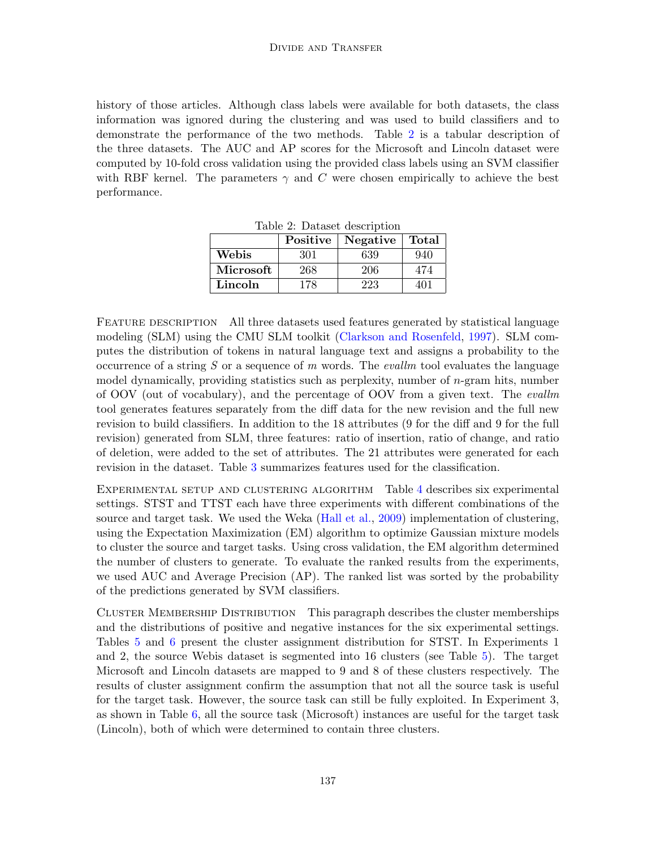history of those articles. Although class labels were available for both datasets, the class information was ignored during the clustering and was used to build classifiers and to demonstrate the performance of the two methods. Table [2](#page-4-0) is a tabular description of the three datasets. The AUC and AP scores for the Microsoft and Lincoln dataset were computed by 10-fold cross validation using the provided class labels using an SVM classifier with RBF kernel. The parameters  $\gamma$  and C were chosen empirically to achieve the best performance.

|           | Positive<br>Negative |     | <b>Total</b> |  |
|-----------|----------------------|-----|--------------|--|
| Webis     | 301                  | 639 | 940          |  |
| Microsoft | 268                  | 206 | 474          |  |
| Lincoln   | 178                  | 223 | 401          |  |

<span id="page-4-0"></span>Table 2: Dataset description

FEATURE DESCRIPTION All three datasets used features generated by statistical language modeling (SLM) using the CMU SLM toolkit [\(Clarkson and Rosenfeld,](#page-10-1) [1997\)](#page-10-1). SLM computes the distribution of tokens in natural language text and assigns a probability to the occurrence of a string  $S$  or a sequence of  $m$  words. The *evallm* tool evaluates the language model dynamically, providing statistics such as perplexity, number of  $n$ -gram hits, number of OOV (out of vocabulary), and the percentage of OOV from a given text. The evallm tool generates features separately from the diff data for the new revision and the full new revision to build classifiers. In addition to the 18 attributes (9 for the diff and 9 for the full revision) generated from SLM, three features: ratio of insertion, ratio of change, and ratio of deletion, were added to the set of attributes. The 21 attributes were generated for each revision in the dataset. Table [3](#page-5-0) summarizes features used for the classification.

Experimental setup and clustering algorithm Table [4](#page-5-1) describes six experimental settings. STST and TTST each have three experiments with different combinations of the source and target task. We used the Weka [\(Hall et al.,](#page-10-2) [2009\)](#page-10-2) implementation of clustering, using the Expectation Maximization (EM) algorithm to optimize Gaussian mixture models to cluster the source and target tasks. Using cross validation, the EM algorithm determined the number of clusters to generate. To evaluate the ranked results from the experiments, we used AUC and Average Precision (AP). The ranked list was sorted by the probability of the predictions generated by SVM classifiers.

Cluster Membership Distribution This paragraph describes the cluster memberships and the distributions of positive and negative instances for the six experimental settings. Tables [5](#page-6-0) and [6](#page-6-1) present the cluster assignment distribution for STST. In Experiments 1 and 2, the source Webis dataset is segmented into 16 clusters (see Table [5\)](#page-6-0). The target Microsoft and Lincoln datasets are mapped to 9 and 8 of these clusters respectively. The results of cluster assignment confirm the assumption that not all the source task is useful for the target task. However, the source task can still be fully exploited. In Experiment 3, as shown in Table [6,](#page-6-1) all the source task (Microsoft) instances are useful for the target task (Lincoln), both of which were determined to contain three clusters.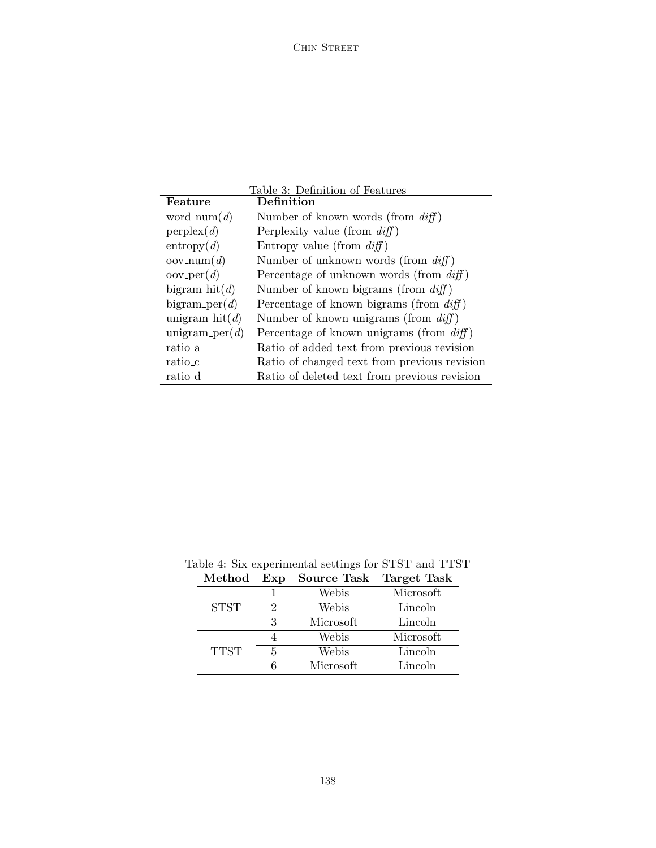<span id="page-5-0"></span>

|                             | Table 3: Definition of Features              |
|-----------------------------|----------------------------------------------|
| Feature                     | Definition                                   |
| word_num( $d$ )             | Number of known words (from $diff$ )         |
| perplex(d)                  | Perplexity value (from $diff$ )              |
| entropy(d)                  | Entropy value (from $diff$ )                 |
| $\operatorname{oov_num}(d)$ | Number of unknown words (from $diff$ )       |
| $oov_{per}(d)$              | Percentage of unknown words (from $diff$ )   |
| bigram $\text{hit}(d)$      | Number of known bigrams (from $diff$ )       |
| bigram_per $(d)$            | Percentage of known bigrams (from $diff$ )   |
| unigram $\text{hit}(d)$     | Number of known unigrams (from $diff$ )      |
| unigram_per $(d)$           | Percentage of known unigrams (from $diff$ )  |
| ratio_a                     | Ratio of added text from previous revision   |
| ratio_c                     | Ratio of changed text from previous revision |
| ratio_d                     | Ratio of deleted text from previous revision |

<span id="page-5-1"></span>

| $\operatorname{Method}$ | Exp | Source Task Target Task |           |
|-------------------------|-----|-------------------------|-----------|
|                         |     | Webis                   | Microsoft |
| <b>STST</b>             | 2   | Webis                   | Lincoln   |
|                         | 3   | Microsoft               | Lincoln   |
|                         |     | Webis                   | Microsoft |
| <b>TTST</b>             | 5   | Webis                   | Lincoln   |
|                         |     | Microsoft               | Lincoln   |

Table 4: Six experimental settings for STST and TTST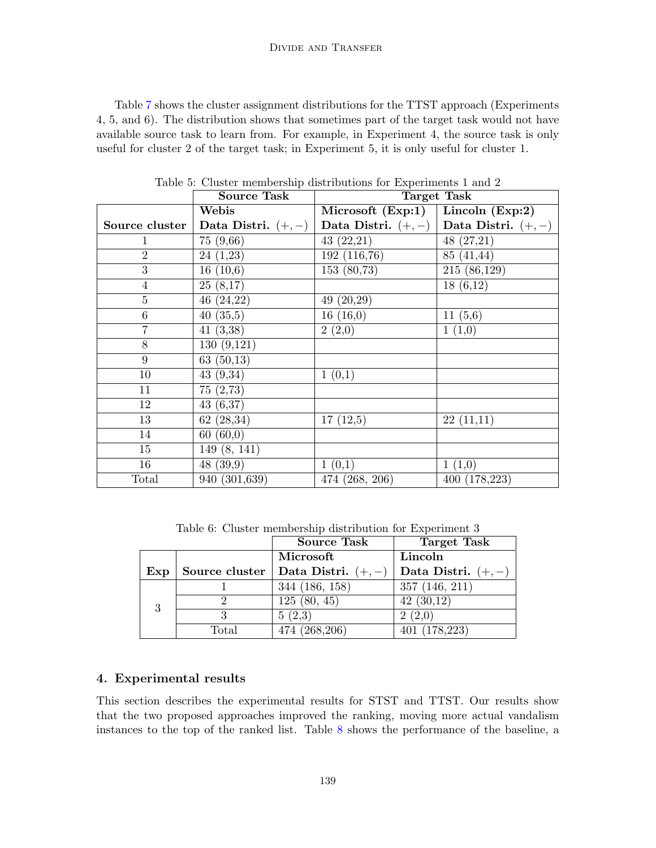Table [7](#page-7-0) shows the cluster assignment distributions for the TTST approach (Experiments 4, 5, and 6). The distribution shows that sometimes part of the target task would not have available source task to learn from. For example, in Experiment 4, the source task is only useful for cluster 2 of the target task; in Experiment 5, it is only useful for cluster 1.

|                | <b>Source Task</b>      | Target Task          |                          |  |  |
|----------------|-------------------------|----------------------|--------------------------|--|--|
|                | Webis                   | Microsoft $(Exp:1)$  | Lincoln $(Exp:2)$        |  |  |
| Source cluster | Data Distri. $(+,-)$    | Data Distri. $(+,-)$ | Data Distri. $(+,-)$     |  |  |
| 1              | 75(9,66)                | 43(22,21)            | 48(27,21)                |  |  |
| $\overline{2}$ | 24(1,23)                | 192(116,76)          | 85 (41,44)               |  |  |
| 3              | $\overline{1}6(10,6)$   | 153(80,73)           | $\overline{215}(86,129)$ |  |  |
| $\overline{4}$ | 25(8,17)                |                      | 18(6,12)                 |  |  |
| 5              | 46(24,22)               | 49(20,29)            |                          |  |  |
| $\,6$          | 40(35,5)                | 16(16,0)             | 11(5,6)                  |  |  |
| 7              | 41(3,38)                | 2(2,0)               | 1(1,0)                   |  |  |
| 8              | 130(9,121)              |                      |                          |  |  |
| 9              | $\overline{63}$ (50,13) |                      |                          |  |  |
| 10             | 43(9,34)                | 1(0,1)               |                          |  |  |
| 11             | 75(2,73)                |                      |                          |  |  |
| 12             | 43(6,37)                |                      |                          |  |  |
| 13             | 62(28,34)               | 17(12,5)             | 22(11,11)                |  |  |
| 14             | 60(60,0)                |                      |                          |  |  |
| 15             | 149(8, 141)             |                      |                          |  |  |
| 16             | 48(39,9)                | 1(0,1)               | 1(1,0)                   |  |  |
| Total          | 940 (301,639)           | 474 (268, 206)       | 400(178,223)             |  |  |

<span id="page-6-0"></span>Table 5: Cluster membership distributions for Experiments 1 and 2

<span id="page-6-1"></span>Table 6: Cluster membership distribution for Experiment 3

|     |                | <b>Source Task</b>   | Target Task          |  |
|-----|----------------|----------------------|----------------------|--|
|     |                | Microsoft            | Lincoln              |  |
| Exp | Source cluster | Data Distri. $(+,-)$ | Data Distri. $(+,-)$ |  |
| 3   |                | 344 (186, 158)       | 357(146, 211)        |  |
|     |                | 125(80, 45)          | 42(30,12)            |  |
|     | 2              | 5(2,3)               | 2(2,0)               |  |
|     | Total          | 474 (268,206)        | 401(178,223)         |  |

#### 4. Experimental results

This section describes the experimental results for STST and TTST. Our results show that the two proposed approaches improved the ranking, moving more actual vandalism instances to the top of the ranked list. Table [8](#page-7-1) shows the performance of the baseline, a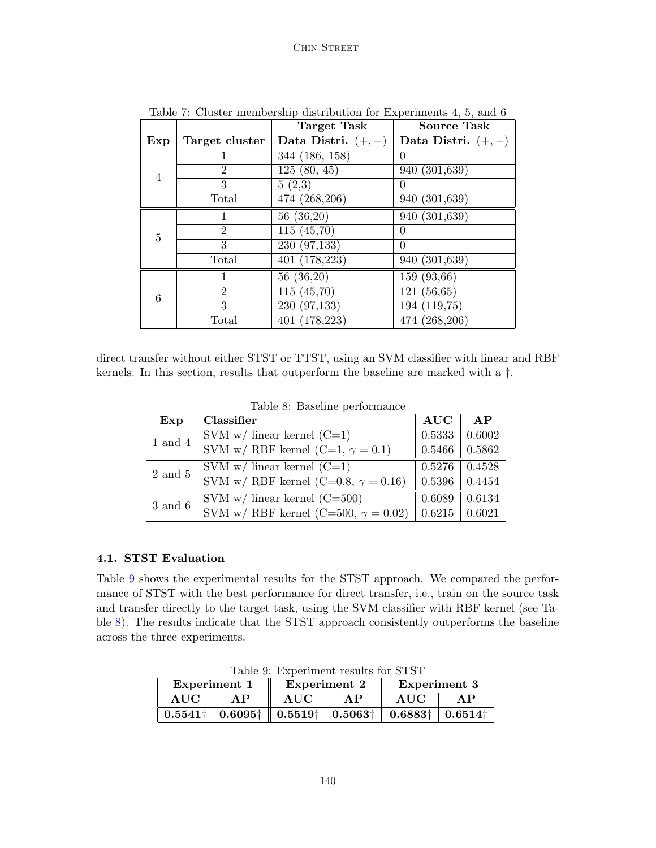|                |                | <b>Target Task</b>         | <b>Source Task</b>   |
|----------------|----------------|----------------------------|----------------------|
| Exp            | Target cluster | Data Distri. $(+,-)$       | Data Distri. $(+,-)$ |
|                |                | 344 (186, 158)             | $\Omega$             |
| $\overline{4}$ | $\overline{2}$ | 125(80, 45)                | 940 (301,639)        |
|                | 3              | 5(2,3)                     | 0                    |
|                | Total          | $\overline{474}$ (268,206) | 940 (301,639)        |
|                | 1              | $\overline{56}$ (36,20)    | 940 (301,639)        |
| 5              | $\overline{2}$ | $\overline{115} (45,70)$   | $\Omega$             |
|                | 3              | 230(97,133)                | $\Omega$             |
|                | Total          | 401(178,223)               | 940 (301,639)        |
|                | 1              | 56(36,20)                  | 159 (93,66)          |
| 6              | $\overline{2}$ | 115(45,70)                 | 121(56,65)           |
|                | 3              | $\overline{230}$ (97,133)  | 194(119,75)          |
|                | Total          | 401 (178,223)              | 474 (268,206)        |

<span id="page-7-0"></span>Table 7: Cluster membership distribution for Experiments 4, 5, and 6

direct transfer without either STST or TTST, using an SVM classifier with linear and RBF kernels. In this section, results that outperform the baseline are marked with a †.

| Exp         | Classifier                                  | AUC                  | AP     |
|-------------|---------------------------------------------|----------------------|--------|
| $1$ and $4$ | SVM w/ linear kernel $(C=1)$                | 0.5333               | 0.6002 |
|             | SVM w/ RBF kernel (C=1, $\gamma = 0.1$ )    | $0.5466$             | 0.5862 |
| 2 and 5     | SVM w/ linear kernel $(C=1)$                | $0.5276 \mid 0.4528$ |        |
|             | SVM w/ RBF kernel (C=0.8, $\gamma = 0.16$ ) | $0.5396 \mid 0.4454$ |        |
| 3 and 6     | SVM w/ linear kernel $(C=500)$              | 0.6089               | 0.6134 |
|             | SVM w/ RBF kernel (C=500, $\gamma = 0.02$ ) | $0.6215 \pm 0.6021$  |        |

<span id="page-7-1"></span>Table 8: Baseline performance

#### 4.1. STST Evaluation

Table [9](#page-7-2) shows the experimental results for the STST approach. We compared the performance of STST with the best performance for direct transfer, i.e., train on the source task and transfer directly to the target task, using the SVM classifier with RBF kernel (see Table [8\)](#page-7-1). The results indicate that the STST approach consistently outperforms the baseline across the three experiments.

<span id="page-7-2"></span>Table 9: Experiment results for STST

| Experiment 1    |                                                                                                            |                  | <b>Experiment 2</b> | Experiment 3 |    |
|-----------------|------------------------------------------------------------------------------------------------------------|------------------|---------------------|--------------|----|
| <b>AUC</b>      | AP                                                                                                         | <b>AUC</b><br>AP |                     | <b>AUC</b>   | AP |
| $0.5541\dagger$ | $\mid 0.6095\dagger \parallel 0.5519\dagger \mid 0.5063\dagger \parallel 0.6883\dagger \mid 0.6514\dagger$ |                  |                     |              |    |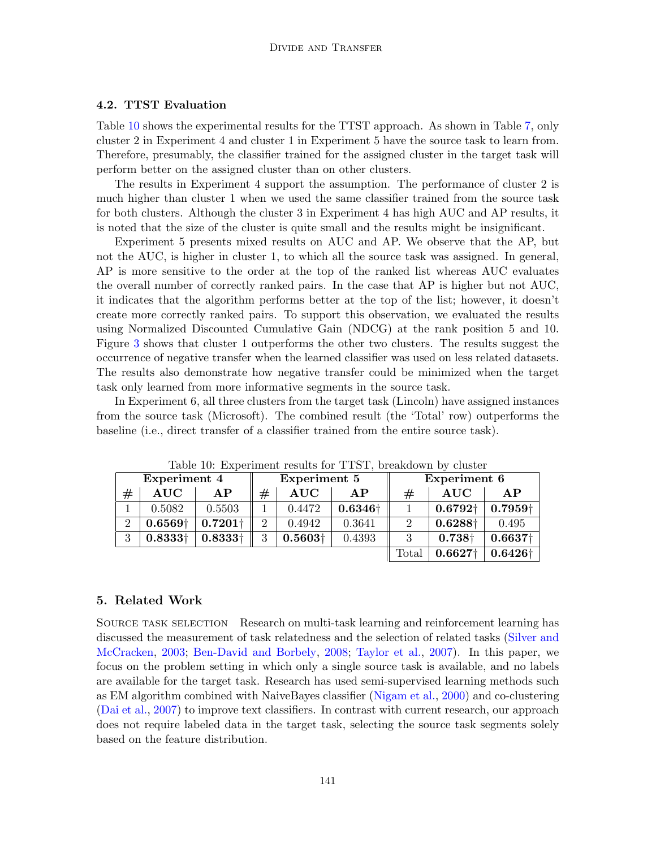#### 4.2. TTST Evaluation

Table [10](#page-8-0) shows the experimental results for the TTST approach. As shown in Table [7,](#page-7-0) only cluster 2 in Experiment 4 and cluster 1 in Experiment 5 have the source task to learn from. Therefore, presumably, the classifier trained for the assigned cluster in the target task will perform better on the assigned cluster than on other clusters.

The results in Experiment 4 support the assumption. The performance of cluster 2 is much higher than cluster 1 when we used the same classifier trained from the source task for both clusters. Although the cluster 3 in Experiment 4 has high AUC and AP results, it is noted that the size of the cluster is quite small and the results might be insignificant.

Experiment 5 presents mixed results on AUC and AP. We observe that the AP, but not the AUC, is higher in cluster 1, to which all the source task was assigned. In general, AP is more sensitive to the order at the top of the ranked list whereas AUC evaluates the overall number of correctly ranked pairs. In the case that AP is higher but not AUC, it indicates that the algorithm performs better at the top of the list; however, it doesn't create more correctly ranked pairs. To support this observation, we evaluated the results using Normalized Discounted Cumulative Gain (NDCG) at the rank position 5 and 10. Figure [3](#page-9-0) shows that cluster 1 outperforms the other two clusters. The results suggest the occurrence of negative transfer when the learned classifier was used on less related datasets. The results also demonstrate how negative transfer could be minimized when the target task only learned from more informative segments in the source task.

In Experiment 6, all three clusters from the target task (Lincoln) have assigned instances from the source task (Microsoft). The combined result (the 'Total' row) outperforms the baseline (i.e., direct transfer of a classifier trained from the entire source task).

|                | Lable To. Experiment results for TTDT, breakdown by cluster |                 |                |                 |                 |                             |                 |                     |
|----------------|-------------------------------------------------------------|-----------------|----------------|-----------------|-----------------|-----------------------------|-----------------|---------------------|
|                | Experiment 4                                                |                 | Experiment 5   |                 | Experiment 6    |                             |                 |                     |
| #              | $\rm AUC$                                                   | AP              | $^{\#}$        | <b>AUC</b>      | AP              | #                           | <b>AUC</b>      | AP                  |
|                | 0.5082                                                      | 0.5503          |                | 0.4472          | $0.6346\dagger$ |                             | $0.6792\dagger$ | 0.7959 <sup>†</sup> |
| $\overline{2}$ | $0.6569+$                                                   | $0.7201\dagger$ | $\overline{2}$ | 0.4942          | 0.3641          | $\mathcal{D}_{\mathcal{L}}$ | $0.6288\dagger$ | 0.495               |
| 3              | $0.8333\dagger$                                             | 0.83331         | 3              | $0.5603\dagger$ | 0.4393          | 3                           | $0.738\dagger$  | $0.6637\dagger$     |
|                |                                                             |                 |                |                 |                 | Total                       | $0.6627+$       | $0.6426\dagger$     |

<span id="page-8-0"></span>Table 10: Experiment results for TTST, breakdown by cluster

#### 5. Related Work

SOURCE TASK SELECTION Research on multi-task learning and reinforcement learning has discussed the measurement of task relatedness and the selection of related tasks [\(Silver and](#page-11-4) [McCracken,](#page-11-4) [2003;](#page-11-4) [Ben-David and Borbely,](#page-10-3) [2008;](#page-10-3) [Taylor et al.,](#page-11-5) [2007\)](#page-11-5). In this paper, we focus on the problem setting in which only a single source task is available, and no labels are available for the target task. Research has used semi-supervised learning methods such as EM algorithm combined with NaiveBayes classifier [\(Nigam et al.,](#page-11-6) [2000\)](#page-11-6) and co-clustering [\(Dai et al.,](#page-10-4) [2007\)](#page-10-4) to improve text classifiers. In contrast with current research, our approach does not require labeled data in the target task, selecting the source task segments solely based on the feature distribution.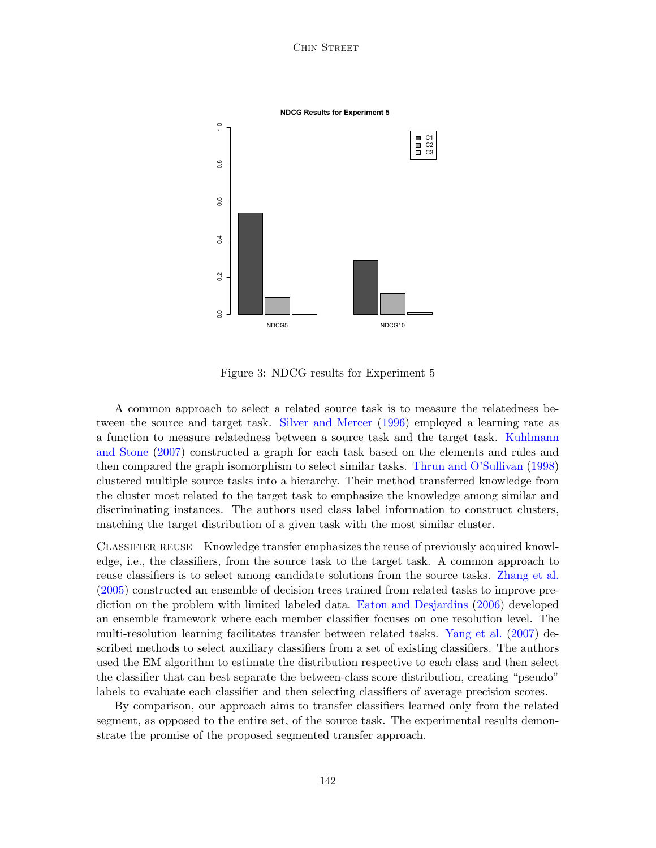#### Chin Street



<span id="page-9-0"></span>Figure 3: NDCG results for Experiment 5

A common approach to select a related source task is to measure the relatedness between the source and target task. [Silver and Mercer](#page-11-7) [\(1996\)](#page-11-7) employed a learning rate as a function to measure relatedness between a source task and the target task. [Kuhlmann](#page-11-8) [and Stone](#page-11-8) [\(2007\)](#page-11-8) constructed a graph for each task based on the elements and rules and then compared the graph isomorphism to select similar tasks. [Thrun and O'Sullivan](#page-11-9) [\(1998\)](#page-11-9) clustered multiple source tasks into a hierarchy. Their method transferred knowledge from the cluster most related to the target task to emphasize the knowledge among similar and discriminating instances. The authors used class label information to construct clusters, matching the target distribution of a given task with the most similar cluster.

CLASSIFIER REUSE Knowledge transfer emphasizes the reuse of previously acquired knowledge, i.e., the classifiers, from the source task to the target task. A common approach to reuse classifiers is to select among candidate solutions from the source tasks. [Zhang et al.](#page-11-10) [\(2005\)](#page-11-10) constructed an ensemble of decision trees trained from related tasks to improve prediction on the problem with limited labeled data. [Eaton and Desjardins](#page-10-5) [\(2006\)](#page-10-5) developed an ensemble framework where each member classifier focuses on one resolution level. The multi-resolution learning facilitates transfer between related tasks. [Yang et al.](#page-11-11) [\(2007\)](#page-11-11) described methods to select auxiliary classifiers from a set of existing classifiers. The authors used the EM algorithm to estimate the distribution respective to each class and then select the classifier that can best separate the between-class score distribution, creating "pseudo" labels to evaluate each classifier and then selecting classifiers of average precision scores.

By comparison, our approach aims to transfer classifiers learned only from the related segment, as opposed to the entire set, of the source task. The experimental results demonstrate the promise of the proposed segmented transfer approach.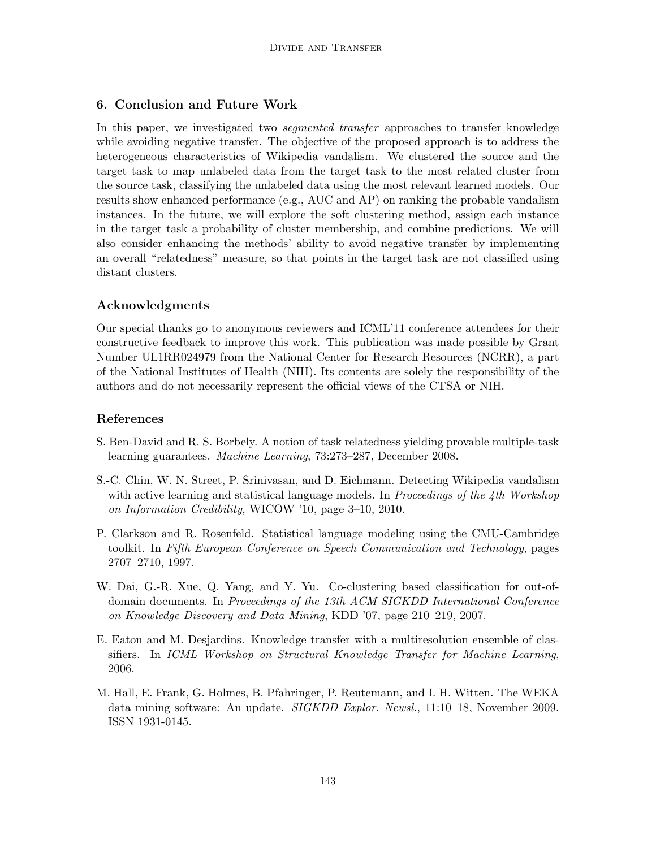# 6. Conclusion and Future Work

In this paper, we investigated two *seqmented transfer* approaches to transfer knowledge while avoiding negative transfer. The objective of the proposed approach is to address the heterogeneous characteristics of Wikipedia vandalism. We clustered the source and the target task to map unlabeled data from the target task to the most related cluster from the source task, classifying the unlabeled data using the most relevant learned models. Our results show enhanced performance (e.g., AUC and AP) on ranking the probable vandalism instances. In the future, we will explore the soft clustering method, assign each instance in the target task a probability of cluster membership, and combine predictions. We will also consider enhancing the methods' ability to avoid negative transfer by implementing an overall "relatedness" measure, so that points in the target task are not classified using distant clusters.

## Acknowledgments

Our special thanks go to anonymous reviewers and ICML'11 conference attendees for their constructive feedback to improve this work. This publication was made possible by Grant Number UL1RR024979 from the National Center for Research Resources (NCRR), a part of the National Institutes of Health (NIH). Its contents are solely the responsibility of the authors and do not necessarily represent the official views of the CTSA or NIH.

## References

- <span id="page-10-3"></span>S. Ben-David and R. S. Borbely. A notion of task relatedness yielding provable multiple-task learning guarantees. Machine Learning, 73:273–287, December 2008.
- <span id="page-10-0"></span>S.-C. Chin, W. N. Street, P. Srinivasan, and D. Eichmann. Detecting Wikipedia vandalism with active learning and statistical language models. In *Proceedings of the 4th Workshop* on Information Credibility, WICOW '10, page 3–10, 2010.
- <span id="page-10-1"></span>P. Clarkson and R. Rosenfeld. Statistical language modeling using the CMU-Cambridge toolkit. In Fifth European Conference on Speech Communication and Technology, pages 2707–2710, 1997.
- <span id="page-10-4"></span>W. Dai, G.-R. Xue, Q. Yang, and Y. Yu. Co-clustering based classification for out-ofdomain documents. In Proceedings of the 13th ACM SIGKDD International Conference on Knowledge Discovery and Data Mining, KDD '07, page 210–219, 2007.
- <span id="page-10-5"></span>E. Eaton and M. Desjardins. Knowledge transfer with a multiresolution ensemble of classifiers. In ICML Workshop on Structural Knowledge Transfer for Machine Learning, 2006.
- <span id="page-10-2"></span>M. Hall, E. Frank, G. Holmes, B. Pfahringer, P. Reutemann, and I. H. Witten. The WEKA data mining software: An update. SIGKDD Explor. Newsl., 11:10–18, November 2009. ISSN 1931-0145.